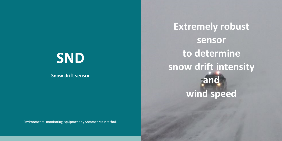# **SND**

**Snow drift sensor**

Environmental monitoring equipment by Sommer Messtechnik

**Extremely robust sensor to determine snow drift intensity and wind speed**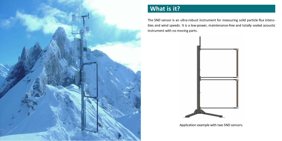

## **What is it?**

The SND sensor is an ultra-robust instrument for measuring solid particle flux intensities and wind speeds. It is a low-power, maintenance-free and totally sealed acoustic instrument with no moving parts.



Application example with two SND sensors.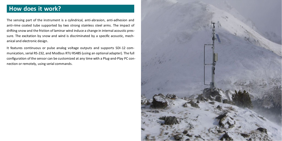## **How does it work?**

The sensing part of the instrument is a cylindrical, anti-abrasion, anti-adhesion and anti-rime coated tube supported by two strong stainless steel arms. The impact of drifting snow and the friction of laminar wind induce a change in internal acoustic pressure. The excitation by snow and wind is discriminated by a specific acoustic, mechanical and electronic design.

It features continuous or pulse analog voltage outputs and supports SDI-12 communication, serial RS-232, and Modbus RTU RS485 (using an optional adapter). The full configuration of the sensor can be customized at any time with a Plug-and-Play PC connection or remotely, using serial commands.

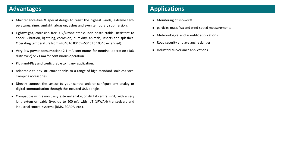### **Advantages**

- n Maintenance-free & special design to resist the highest winds, extreme temperatures, rime, sunlight, abrasion, ashes and even temporary submersion.
- n Lightweight, corrosion free, UV/Ozone stable, non-obstructable. Resistant to shock, vibration, lightning, corrosion, humidity, animals, insects and splashes. Operating temperature from −40 °C to 80 °C (−50 °C to 100 °C extended).
- n Very low power consumption: 2.1 mA continuous for nominal operation (10% duty-cycle) or 21 mA for continuous operation.
- n Plug-and-Play and configurable to fit any application.
- n Adaptable to any structure thanks to a range of high standard stainless steel clamping accessories.
- n Directly connect the sensor to your central unit or configure any analog or digital communication through the included USB dongle.
- n Compatible with almost any external analog or digital central unit, with a very long extension cable (typ. up to 200 m), with IoT (LPWAN) transceivers and industrial control systems (BMS, SCADA, etc.).

#### **Applications**

- $\blacksquare$  Monitoring of snowdrift
- $\Box$  particles mass flux and wind-speed measurements
- $\blacksquare$  Meteorological and scientific applications
- Road security and avalanche danger
- $\blacksquare$  Industrial surveillance applications